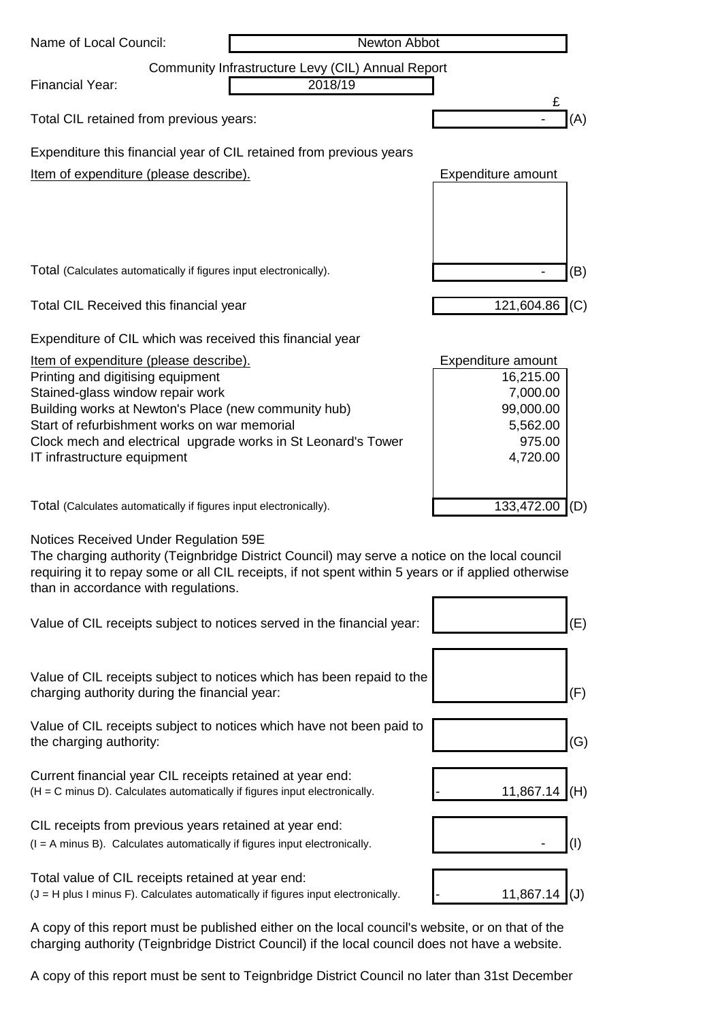| Name of Local Council:                                                                              | Newton Abbot |                       |
|-----------------------------------------------------------------------------------------------------|--------------|-----------------------|
| Community Infrastructure Levy (CIL) Annual Report                                                   |              |                       |
| <b>Financial Year:</b>                                                                              | 2018/19      | £                     |
| Total CIL retained from previous years:                                                             |              | (A)                   |
| Expenditure this financial year of CIL retained from previous years                                 |              |                       |
| Item of expenditure (please describe).                                                              |              | Expenditure amount    |
|                                                                                                     |              |                       |
|                                                                                                     |              |                       |
|                                                                                                     |              |                       |
| Total (Calculates automatically if figures input electronically).                                   |              | (B)                   |
| Total CIL Received this financial year                                                              |              | 121,604.86<br>(C)     |
| Expenditure of CIL which was received this financial year                                           |              |                       |
| Item of expenditure (please describe).                                                              |              | Expenditure amount    |
| Printing and digitising equipment                                                                   |              | 16,215.00             |
| Stained-glass window repair work<br>Building works at Newton's Place (new community hub)            |              | 7,000.00<br>99,000.00 |
| Start of refurbishment works on war memorial                                                        |              | 5,562.00              |
| Clock mech and electrical upgrade works in St Leonard's Tower                                       |              | 975.00                |
| IT infrastructure equipment                                                                         |              | 4,720.00              |
|                                                                                                     |              |                       |
| Total (Calculates automatically if figures input electronically).                                   |              | 133,472.00<br>(D)     |
| Notices Received Under Regulation 59E                                                               |              |                       |
| The charging authority (Teignbridge District Council) may serve a notice on the local council       |              |                       |
| requiring it to repay some or all CIL receipts, if not spent within 5 years or if applied otherwise |              |                       |
| than in accordance with regulations.                                                                |              |                       |
| Value of CIL receipts subject to notices served in the financial year:                              |              | (E)                   |
|                                                                                                     |              |                       |
|                                                                                                     |              |                       |
| Value of CIL receipts subject to notices which has been repaid to the                               |              |                       |
| charging authority during the financial year:                                                       |              | (F)                   |
| Value of CIL receipts subject to notices which have not been paid to                                |              |                       |
| the charging authority:                                                                             |              | (G)                   |
| Current financial year CIL receipts retained at year end:                                           |              |                       |
| (H = C minus D). Calculates automatically if figures input electronically.                          |              | 11,867.14<br>(H)      |
| CIL receipts from previous years retained at year end:                                              |              |                       |
| (I = A minus B). Calculates automatically if figures input electronically.                          |              | $^{(1)}$              |
|                                                                                                     |              |                       |
| Total value of CIL receipts retained at year end:                                                   |              |                       |
| $(J = H$ plus I minus F). Calculates automatically if figures input electronically.                 |              | 11,867.14<br>(J)      |

A copy of this report must be published either on the local council's website, or on that of the charging authority (Teignbridge District Council) if the local council does not have a website.

A copy of this report must be sent to Teignbridge District Council no later than 31st December